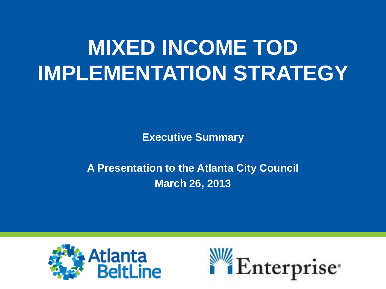# **MIXED INCOME TOD IMPLEMENTATION STRATEGY**

**Executive Summary** 

# **A Presentation to the Atlanta City Council March 26, 2013**



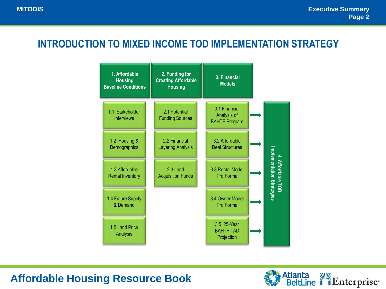#### **INTRODUCTION TO MIXED INCOME TOD IMPLEMENTATION STRATEGY**



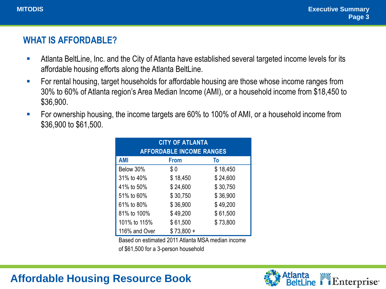#### **WHAT IS AFFORDABLE?**

- Atlanta BeltLine, Inc. and the City of Atlanta have established several targeted income levels for its affordable housing efforts along the Atlanta BeltLine.
- **FIC 10** For rental housing, target households for affordable housing are those whose income ranges from 30% to 60% of Atlanta region's Area Median Income (AMI), or a household income from \$18,450 to \$36,900.
- **FICT** For ownership housing, the income targets are 60% to 100% of AMI, or a household income from \$36,900 to \$61,500.

| <b>CITY OF ATLANTA</b>          |             |          |
|---------------------------------|-------------|----------|
| <b>AFFORDABLE INCOME RANGES</b> |             |          |
| <b>AMI</b>                      | <b>From</b> | To       |
| Below 30%                       | \$0         | \$18,450 |
| 31% to 40%                      | \$18,450    | \$24,600 |
| 41% to 50%                      | \$24,600    | \$30,750 |
| 51% to 60%                      | \$30,750    | \$36,900 |
| 61% to 80%                      | \$36,900    | \$49,200 |
| 81% to 100%                     | \$49,200    | \$61,500 |
| 101% to 115%                    | \$61,500    | \$73,800 |
| 116% and Over                   | $$73,800 +$ |          |

Based on estimated 2011 Atlanta MSA median income

of \$61,500 for a 3-person household

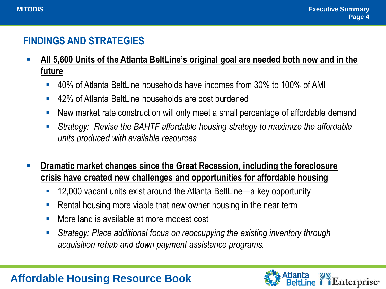"Enterprise"

#### **FINDINGS AND STRATEGIES**

- **All 5,600 Units of the Atlanta BeltLine's original goal are needed both now and in the future**
	- 40% of Atlanta BeltLine households have incomes from 30% to 100% of AMI
	- 42% of Atlanta BeltLine households are cost burdened
	- New market rate construction will only meet a small percentage of affordable demand
	- *Strategy: Revise the BAHTF affordable housing strategy to maximize the affordable units produced with available resources*
- **Dramatic market changes since the Great Recession, including the foreclosure crisis have created new challenges and opportunities for affordable housing**
	- 12,000 vacant units exist around the Atlanta BeltLine—a key opportunity
	- **Rental housing more viable that new owner housing in the near term**
	- More land is available at more modest cost
	- *Strategy: Place additional focus on reoccupying the existing inventory through acquisition rehab and down payment assistance programs.*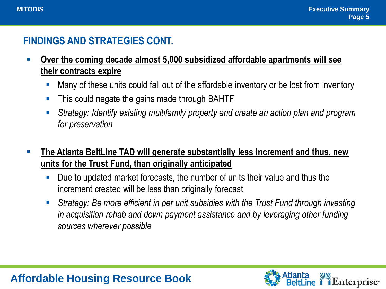i Enterprise<sup>®</sup>

### **FINDINGS AND STRATEGIES CONT.**

- **Over the coming decade almost 5,000 subsidized affordable apartments will see their contracts expire**
	- Many of these units could fall out of the affordable inventory or be lost from inventory
	- This could negate the gains made through BAHTF
	- *Strategy: Identify existing multifamily property and create an action plan and program for preservation*
- **The Atlanta BeltLine TAD will generate substantially less increment and thus, new units for the Trust Fund, than originally anticipated**
	- Due to updated market forecasts, the number of units their value and thus the increment created will be less than originally forecast
	- *Strategy: Be more efficient in per unit subsidies with the Trust Fund through investing in acquisition rehab and down payment assistance and by leveraging other funding sources wherever possible*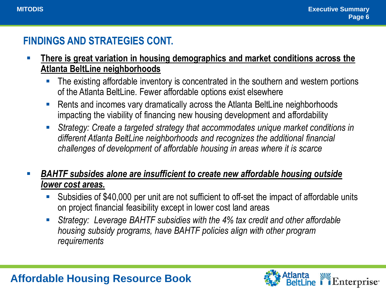Atlants

*i* Enterprise<sup>®</sup>

### **FINDINGS AND STRATEGIES CONT.**

- **There is great variation in housing demographics and market conditions across the Atlanta BeltLine neighborhoods**
	- The existing affordable inventory is concentrated in the southern and western portions of the Atlanta BeltLine. Fewer affordable options exist elsewhere
	- Rents and incomes vary dramatically across the Atlanta BeltLine neighborhoods impacting the viability of financing new housing development and affordability
	- *Strategy: Create a targeted strategy that accommodates unique market conditions in different Atlanta BeltLine neighborhoods and recognizes the additional financial challenges of development of affordable housing in areas where it is scarce*

#### *BAHTF subsides alone are insufficient to create new affordable housing outside lower cost areas.*

- Subsidies of \$40,000 per unit are not sufficient to off-set the impact of affordable units on project financial feasibility except in lower cost land areas
- *Strategy: Leverage BAHTF subsidies with the 4% tax credit and other affordable housing subsidy programs, have BAHTF policies align with other program requirements*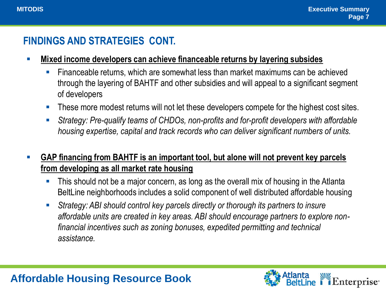#### **FINDINGS AND STRATEGIES CONT.**

- **Mixed income developers can achieve financeable returns by layering subsides**
	- Financeable returns, which are somewhat less than market maximums can be achieved through the layering of BAHTF and other subsidies and will appeal to a significant segment of developers
	- These more modest returns will not let these developers compete for the highest cost sites.
	- *Strategy: Pre-qualify teams of CHDOs, non-profits and for-profit developers with affordable housing expertise, capital and track records who can deliver significant numbers of units.*

#### **GAP financing from BAHTF is an important tool, but alone will not prevent key parcels from developing as all market rate housing**

- This should not be a major concern, as long as the overall mix of housing in the Atlanta BeltLine neighborhoods includes a solid component of well distributed affordable housing
- *Strategy: ABI should control key parcels directly or thorough its partners to insure affordable units are created in key areas. ABI should encourage partners to explore nonfinancial incentives such as zoning bonuses, expedited permitting and technical assistance.*